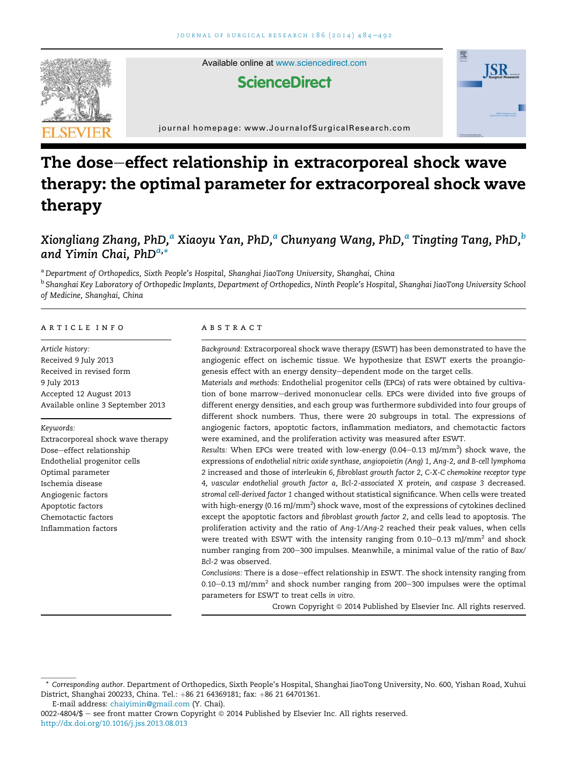

Available online at [www.sciencedirect.com](www.sciencedirect.com/science/journal/00224804)

# **ScienceDirect**



journal homepage: [www.JournalofSurgicalResearch.com](http://www.JournalofSurgicalResearch.com)

# The dose-effect relationship in extracorporeal shock wave therapy: the optimal parameter for extracorporeal shock wave therapy

# Xiongliang Zhang, PhD,<sup>a</sup> Xiaoyu Yan, PhD,<sup>a</sup> Chunyang Wang, PhD,<sup>a</sup> Tingting Tang, PhD,<sup>b</sup> and Yimin Chai, PhD<sup>a,</sup>\*

<sup>a</sup> *Department of Orthopedics, Sixth People's Hospital, Shanghai JiaoTong University, Shanghai, China* <sup>b</sup> Shanghai Key Laboratory of Orthopedic Implants, Department of Orthopedics, Ninth People's Hospital, Shanghai JiaoTong University School *of Medicine, Shanghai, China*

#### article info

*Article history:* Received 9 July 2013 Received in revised form 9 July 2013 Accepted 12 August 2013 Available online 3 September 2013

#### *Keywords:*

Extracorporeal shock wave therapy Dose-effect relationship Endothelial progenitor cells Optimal parameter Ischemia disease Angiogenic factors Apoptotic factors Chemotactic factors Inflammation factors

#### abstract

*Background:* Extracorporeal shock wave therapy (ESWT) has been demonstrated to have the angiogenic effect on ischemic tissue. We hypothesize that ESWT exerts the proangiogenesis effect with an energy density-dependent mode on the target cells.

*Materials and methods:* Endothelial progenitor cells (EPCs) of rats were obtained by cultivation of bone marrow-derived mononuclear cells. EPCs were divided into five groups of different energy densities, and each group was furthermore subdivided into four groups of different shock numbers. Thus, there were 20 subgroups in total. The expressions of angiogenic factors, apoptotic factors, inflammation mediators, and chemotactic factors were examined, and the proliferation activity was measured after ESWT.

Results: When EPCs were treated with low-energy (0.04–0.13 mJ/mm<sup>2</sup>) shock wave, the expressions of *endothelial nitric oxide synthase, angiopoietin (Ang) 1, Ang-2, and B-cell lymphoma 2* increased and those of *interleukin 6, fibroblast growth factor 2, C-X-C chemokine receptor type 4, vascular endothelial growth factor a, Bcl-2-associated X protein, and caspase 3* decreased. *stromal cell-derived factor 1* changed without statistical significance. When cells were treated with high-energy (0.16 mJ/mm $^2$ ) shock wave, most of the expressions of cytokines declined except the apoptotic factors and *fibroblast growth factor 2*, and cells lead to apoptosis. The proliferation activity and the ratio of *Ang-1/Ang-2* reached their peak values, when cells were treated with ESWT with the intensity ranging from 0.10–0.13 mJ/mm<sup>2</sup> and shock number ranging from 200-300 impulses. Meanwhile, a minimal value of the ratio of *Bax*/ *Bcl-2* was observed.

*Conclusions:* There is a dose-effect relationship in ESWT. The shock intensity ranging from  $0.10-0.13$  mJ/mm<sup>2</sup> and shock number ranging from 200 $-300$  impulses were the optimal parameters for ESWT to treat cells *in vitro*.

Crown Copyright © 2014 Published by Elsevier Inc. All rights reserved.

E-mail address: [chaiyimin@gmail.com](mailto:chaiyimin@gmail.com) (Y. Chai).

<sup>\*</sup> *Corresponding author*. Department of Orthopedics, Sixth People's Hospital, Shanghai JiaoTong University, No. 600, Yishan Road, Xuhui District, Shanghai 200233, China. Tel.: +86 21 64369181; fax: +86 21 64701361.

<sup>0022-4804/\$ -</sup> see front matter Crown Copyright @ 2014 Published by Elsevier Inc. All rights reserved. <http://dx.doi.org/10.1016/j.jss.2013.08.013>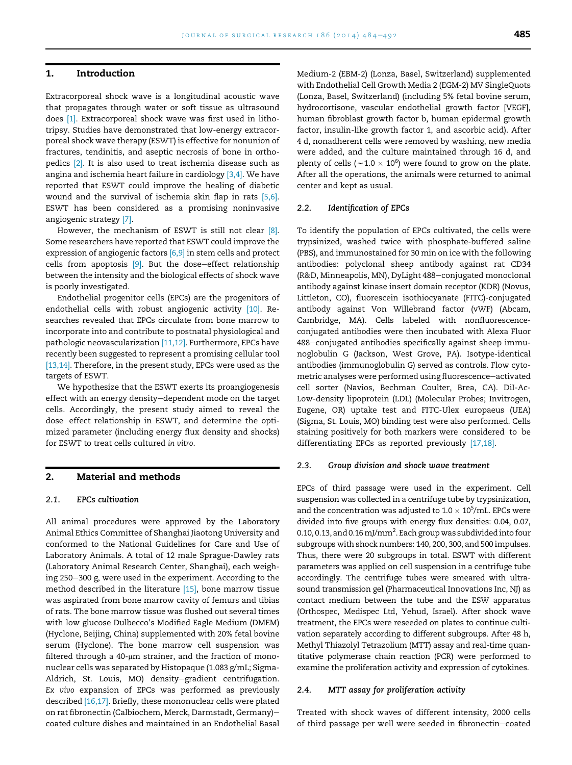### 1. Introduction

Extracorporeal shock wave is a longitudinal acoustic wave that propagates through water or soft tissue as ultrasound does [\[1\].](#page-7-0) Extracorporeal shock wave was first used in lithotripsy. Studies have demonstrated that low-energy extracorporeal shock wave therapy (ESWT) is effective for nonunion of fractures, tendinitis, and aseptic necrosis of bone in orthopedics [\[2\].](#page-7-0) It is also used to treat ischemia disease such as angina and ischemia heart failure in cardiology [\[3,4\].](#page-7-0) We have reported that ESWT could improve the healing of diabetic wound and the survival of ischemia skin flap in rats [\[5,6\].](#page-7-0) ESWT has been considered as a promising noninvasive angiogenic strategy [\[7\]](#page-7-0).

However, the mechanism of ESWT is still not clear [\[8\].](#page-7-0) Some researchers have reported that ESWT could improve the expression of angiogenic factors [\[6,9\]](#page-7-0) in stem cells and protect cells from apoptosis  $[9]$ . But the dose-effect relationship between the intensity and the biological effects of shock wave is poorly investigated.

Endothelial progenitor cells (EPCs) are the progenitors of endothelial cells with robust angiogenic activity [\[10\].](#page-7-0) Researches revealed that EPCs circulate from bone marrow to incorporate into and contribute to postnatal physiological and pathologic neovascularization [\[11,12\].](#page-7-0) Furthermore, EPCs have recently been suggested to represent a promising cellular tool [\[13,14\].](#page-7-0) Therefore, in the present study, EPCs were used as the targets of ESWT.

We hypothesize that the ESWT exerts its proangiogenesis effect with an energy density-dependent mode on the target cells. Accordingly, the present study aimed to reveal the dose-effect relationship in ESWT, and determine the optimized parameter (including energy flux density and shocks) for ESWT to treat cells cultured *in vitro*.

#### 2. Material and methods

### 2.1. EPCs cultivation

All animal procedures were approved by the Laboratory Animal Ethics Committee of Shanghai Jiaotong University and conformed to the National Guidelines for Care and Use of Laboratory Animals. A total of 12 male Sprague-Dawley rats (Laboratory Animal Research Center, Shanghai), each weighing 250-300 g, were used in the experiment. According to the method described in the literature [\[15\]](#page-7-0), bone marrow tissue was aspirated from bone marrow cavity of femurs and tibias of rats. The bone marrow tissue was flushed out several times with low glucose Dulbecco's Modified Eagle Medium (DMEM) (Hyclone, Beijing, China) supplemented with 20% fetal bovine serum (Hyclone). The bone marrow cell suspension was filtered through a 40- $\mu$ m strainer, and the fraction of mononuclear cells was separated by Histopaque (1.083 g/mL; Sigma-Aldrich, St. Louis, MO) density-gradient centrifugation. *Ex vivo* expansion of EPCs was performed as previously described [\[16,17\].](#page-7-0) Briefly, these mononuclear cells were plated on rat fibronectin (Calbiochem, Merck, Darmstadt, Germany)coated culture dishes and maintained in an Endothelial Basal Medium-2 (EBM-2) (Lonza, Basel, Switzerland) supplemented with Endothelial Cell Growth Media 2 (EGM-2) MV SingleQuots (Lonza, Basel, Switzerland) (including 5% fetal bovine serum, hydrocortisone, vascular endothelial growth factor [VEGF], human fibroblast growth factor b, human epidermal growth factor, insulin-like growth factor 1, and ascorbic acid). After 4 d, nonadherent cells were removed by washing, new media were added, and the culture maintained through 16 d, and plenty of cells ( ${\sim} \text{1.0} \times \text{10}^{6}$ ) were found to grow on the plate. After all the operations, the animals were returned to animal center and kept as usual.

#### 2.2. Identification of EPCs

To identify the population of EPCs cultivated, the cells were trypsinized, washed twice with phosphate-buffered saline (PBS), and immunostained for 30 min on ice with the following antibodies: polyclonal sheep antibody against rat CD34 (R&D, Minneapolis, MN), DyLight 488-conjugated monoclonal antibody against kinase insert domain receptor (KDR) (Novus, Littleton, CO), fluorescein isothiocyanate (FITC)-conjugated antibody against Von Willebrand factor (vWF) (Abcam, Cambridge, MA). Cells labeled with nonfluorescenceconjugated antibodies were then incubated with Alexa Fluor 488-conjugated antibodies specifically against sheep immunoglobulin G (Jackson, West Grove, PA). Isotype-identical antibodies (immunoglobulin G) served as controls. Flow cytometric analyses were performed using fluorescence-activated cell sorter (Navios, Bechman Coulter, Brea, CA). DiI-Ac-Low-density lipoprotein (LDL) (Molecular Probes; Invitrogen, Eugene, OR) uptake test and FITC-Ulex europaeus (UEA) (Sigma, St. Louis, MO) binding test were also performed. Cells staining positively for both markers were considered to be differentiating EPCs as reported previously [\[17,18\].](#page-7-0)

#### 2.3. Group division and shock wave treatment

EPCs of third passage were used in the experiment. Cell suspension was collected in a centrifuge tube by trypsinization, and the concentration was adjusted to 1.0  $\times$  10 $^{5}\!/$ mL. EPCs were divided into five groups with energy flux densities: 0.04, 0.07, 0.10, 0.13, and 0.16 mJ/mm $^2$ . Each group was subdivided into four subgroups with shock numbers: 140, 200, 300, and 500 impulses. Thus, there were 20 subgroups in total. ESWT with different parameters was applied on cell suspension in a centrifuge tube accordingly. The centrifuge tubes were smeared with ultrasound transmission gel (Pharmaceutical Innovations Inc, NJ) as contact medium between the tube and the ESW apparatus (Orthospec, Medispec Ltd, Yehud, Israel). After shock wave treatment, the EPCs were reseeded on plates to continue cultivation separately according to different subgroups. After 48 h, Methyl Thiazolyl Tetrazolium (MTT) assay and real-time quantitative polymerase chain reaction (PCR) were performed to examine the proliferation activity and expression of cytokines.

#### 2.4. MTT assay for proliferation activity

Treated with shock waves of different intensity, 2000 cells of third passage per well were seeded in fibronectin-coated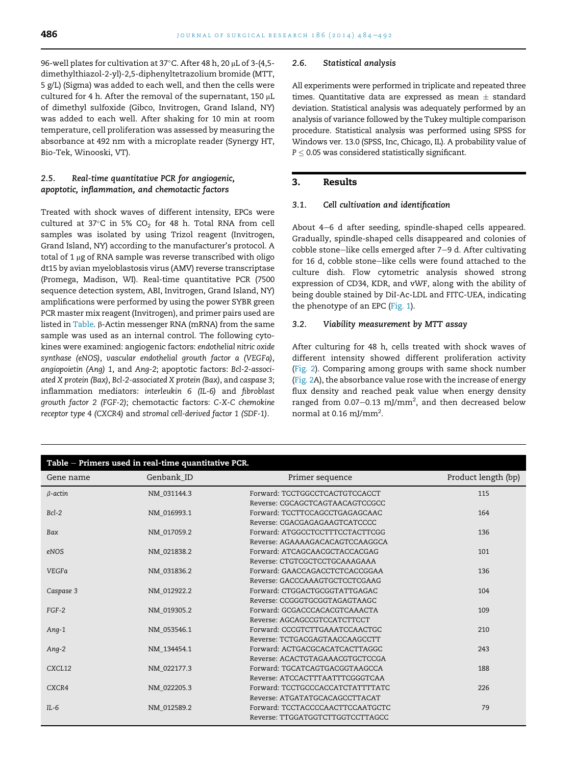96-well plates for cultivation at 37°C. After 48 h, 20 µL of 3-(4,5dimethylthiazol-2-yl)-2,5-diphenyltetrazolium bromide (MTT, 5 g/L) (Sigma) was added to each well, and then the cells were cultured for 4 h. After the removal of the supernatant, 150  $\mu$ L of dimethyl sulfoxide (Gibco, Invitrogen, Grand Island, NY) was added to each well. After shaking for 10 min at room temperature, cell proliferation was assessed by measuring the absorbance at 492 nm with a microplate reader (Synergy HT, Bio-Tek, Winooski, VT).

# 2.5. Real-time quantitative PCR for angiogenic, apoptotic, inflammation, and chemotactic factors

Treated with shock waves of different intensity, EPCs were cultured at 37 $\degree$ C in 5% CO<sub>2</sub> for 48 h. Total RNA from cell samples was isolated by using Trizol reagent (Invitrogen, Grand Island, NY) according to the manufacturer's protocol. A total of 1  $\mu$ g of RNA sample was reverse transcribed with oligo dt15 by avian myeloblastosis virus (AMV) reverse transcriptase (Promega, Madison, WI). Real-time quantitative PCR (7500 sequence detection system, ABI, Invitrogen, Grand Island, NY) amplifications were performed by using the power SYBR green PCR master mix reagent (Invitrogen), and primer pairs used are listed in Table. β-Actin messenger RNA (mRNA) from the same sample was used as an internal control. The following cytokines were examined: angiogenic factors: *endothelial nitric oxide synthase (eNOS)*, *vascular endothelial growth factor a (VEGFa)*, *angiopoietin (Ang) 1*, and *Ang-2*; apoptotic factors: *Bcl-2-associated X protein (Bax)*, *Bcl-2-associated X protein (Bax)*, and *caspase 3*; inflammation mediators: *interleukin 6 (IL-6)* and *fibroblast growth factor 2 (FGF-2)*; chemotactic factors: *C-X-C chemokine receptor type 4 (CXCR4)* and *stromal cell-derived factor 1 (SDF-1)*.

#### 2.6. Statistical analysis

All experiments were performed in triplicate and repeated three times. Quantitative data are expressed as mean  $\pm$  standard deviation. Statistical analysis was adequately performed by an analysis of variance followed by the Tukey multiple comparison procedure. Statistical analysis was performed using SPSS for Windows ver. 13.0 (SPSS, Inc, Chicago, IL). A probability value of  $P \leq 0.05$  was considered statistically significant.

# 3. Results

#### 3.1. Cell cultivation and identification

About 4-6 d after seeding, spindle-shaped cells appeared. Gradually, spindle-shaped cells disappeared and colonies of cobble stone-like cells emerged after 7-9 d. After cultivating for 16 d, cobble stone-like cells were found attached to the culture dish. Flow cytometric analysis showed strong expression of CD34, KDR, and vWF, along with the ability of being double stained by DiI-Ac-LDL and FITC-UEA, indicating the phenotype of an EPC ([Fig. 1](#page-3-0)).

#### 3.2. Viability measurement by MTT assay

After culturing for 48 h, cells treated with shock waves of different intensity showed different proliferation activity [\(Fig. 2](#page-3-0)). Comparing among groups with same shock number [\(Fig. 2A](#page-3-0)), the absorbance value rose with the increase of energy flux density and reached peak value when energy density ranged from 0.07 $-$ 0.13 mJ/mm<sup>2</sup>, and then decreased below normal at 0.16 mJ/mm<sup>2</sup>.

| Table - Primers used in real-time quantitative PCR. |             |                                  |                     |
|-----------------------------------------------------|-------------|----------------------------------|---------------------|
| Gene name                                           | Genbank_ID  | Primer sequence                  | Product length (bp) |
| $\beta$ -actin                                      | NM 031144.3 | Forward: TCCTGGCCTCACTGTCCACCT   | 115                 |
|                                                     |             | Reverse: CGCAGCTCAGTAACAGTCCGCC  |                     |
| $Bcl-2$                                             | NM 016993.1 | Forward: TCCTTCCAGCCTGAGAGCAAC   | 164                 |
|                                                     |             | Reverse: CGACGAGAGAAGTCATCCCC    |                     |
| Bax                                                 | NM 017059.2 | Forward: ATGGCCTCCTTTCCTACTTCGG  | 136                 |
|                                                     |             | Reverse: AGAAAAGACACAGTCCAAGGCA  |                     |
| eNOS                                                | NM 021838.2 | Forward: ATCAGCAACGCTACCACGAG    | 101                 |
|                                                     |             | Reverse: CTGTCGCTCCTGCAAAGAAA    |                     |
| <b>VEGFa</b>                                        | NM_031836.2 | Forward: GAACCAGACCTCTCACCGGAA   | 136                 |
|                                                     |             | Reverse: GACCCAAAGTGCTCCTCGAAG   |                     |
| Caspase 3                                           | NM 012922.2 | Forward: CTGGACTGCGGTATTGAGAC    | 104                 |
|                                                     |             | Reverse: CCGGGTGCGGTAGAGTAAGC    |                     |
| $FGF-2$                                             | NM 019305.2 | Forward: GCGACCCACACGTCAAACTA    | 109                 |
|                                                     |             | Reverse: AGCAGCCGTCCATCTTCCT     |                     |
| Ang-1                                               | NM 053546.1 | Forward: CCCGTCTTGAAATCCAACTGC   | 210                 |
|                                                     |             | Reverse: TCTGACGAGTAACCAAGCCTT   |                     |
| Ang-2                                               | NM 134454.1 | Forward: ACTGACGCACATCACTTAGGC   | 243                 |
|                                                     |             | Reverse: ACACTGTAGAAACGTGCTCCGA  |                     |
| CXCL12                                              | NM 022177.3 | Forward: TGCATCAGTGACGGTAAGCCA   | 188                 |
|                                                     |             | Reverse: ATCCACTTTAATTTCGGGTCAA  |                     |
| CXCR4                                               | NM_022205.3 | Forward: TCCTGCCCACCATCTATTTTATC | 226                 |
|                                                     |             | Reverse: ATGATATGCACAGCCTTACAT   |                     |
| $IL-6$                                              | NM 012589.2 | Forward: TCCTACCCCAACTTCCAATGCTC | 79                  |
|                                                     |             | Reverse: TTGGATGGTCTTGGTCCTTAGCC |                     |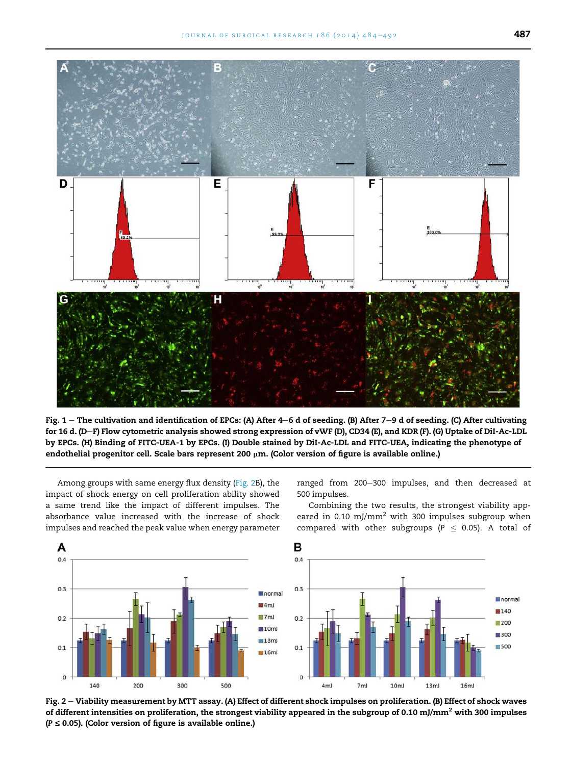<span id="page-3-0"></span>

Fig.  $1$  – The cultivation and identification of EPCs: (A) After 4–6 d of seeding. (B) After 7–9 d of seeding. (C) After cultivating for 16 d. (D–F) Flow cytometric analysis showed strong expression of vWF (D), CD34 (E), and KDR (F). (G) Uptake of DiI-Ac-LDL by EPCs. (H) Binding of FITC-UEA-1 by EPCs. (I) Double stained by DiI-Ac-LDL and FITC-UEA, indicating the phenotype of endothelial progenitor cell. Scale bars represent 200  $\mu$ m. (Color version of figure is available online.)

Among groups with same energy flux density (Fig. 2B), the impact of shock energy on cell proliferation ability showed a same trend like the impact of different impulses. The absorbance value increased with the increase of shock impulses and reached the peak value when energy parameter

A  $0.4$ 

 $0.3$ 

 $0.2$ 

 $0.1$ 

 $\theta$ 

140

200

ranged from 200-300 impulses, and then decreased at 500 impulses.



Combining the two results, the strongest viability appeared in 0.10 mJ/mm<sup>2</sup> with 300 impulses subgroup when compared with other subgroups ( $P \le 0.05$ ). A total of

normal

■140

200

■300

 $18500$ 

 $16<sub>m</sub>$ 

Fig. 2 - Viability measurement by MTT assay. (A) Effect of different shock impulses on proliferation. (B) Effect of shock waves of different intensities on proliferation, the strongest viability appeared in the subgroup of 0.10 mJ/mm<sup>2</sup> with 300 impulses  $(P \le 0.05)$ . (Color version of figure is available online.)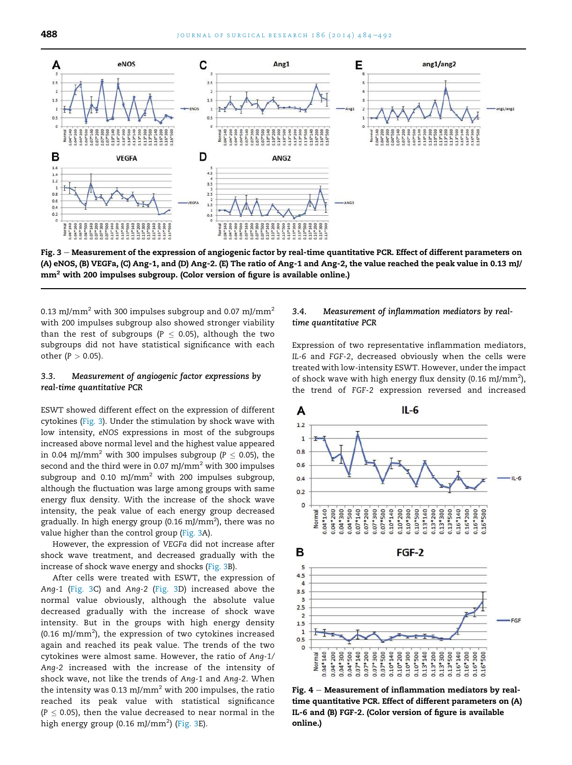<span id="page-4-0"></span>

Fig. 3 – Measurement of the expression of angiogenic factor by real-time quantitative PCR. Effect of different parameters on (A) eNOS, (B) VEGFa, (C) Ang-1, and (D) Ang-2. (E) The ratio of Ang-1 and Ang-2, the value reached the peak value in 0.13 mJ/ mm<sup>2</sup> with 200 impulses subgroup. (Color version of figure is available online.)

0.13 mJ/mm<sup>2</sup> with 300 impulses subgroup and 0.07 mJ/mm<sup>2</sup> with 200 impulses subgroup also showed stronger viability than the rest of subgroups ( $P \le 0.05$ ), although the two subgroups did not have statistical significance with each other  $(P > 0.05)$ .

#### 3.3. Measurement of angiogenic factor expressions by real-time quantitative PCR

ESWT showed different effect on the expression of different cytokines (Fig. 3). Under the stimulation by shock wave with low intensity, *eNOS* expressions in most of the subgroups increased above normal level and the highest value appeared in 0.04 mJ/mm<sup>2</sup> with 300 impulses subgroup ( $P \le 0.05$ ), the second and the third were in 0.07 mJ/mm<sup>2</sup> with 300 impulses subgroup and 0.10 mJ/mm<sup>2</sup> with 200 impulses subgroup, although the fluctuation was large among groups with same energy flux density. With the increase of the shock wave intensity, the peak value of each energy group decreased gradually. In high energy group (0.16 mJ/mm $^2$ ), there was no value higher than the control group (Fig. 3A).

However, the expression of *VEGFa* did not increase after shock wave treatment, and decreased gradually with the increase of shock wave energy and shocks (Fig. 3B).

After cells were treated with ESWT, the expression of *Ang-1* (Fig. 3C) and *Ang-2* (Fig. 3D) increased above the normal value obviously, although the absolute value decreased gradually with the increase of shock wave intensity. But in the groups with high energy density (0.16 mJ/mm<sup>2</sup>), the expression of two cytokines increased again and reached its peak value. The trends of the two cytokines were almost same. However, the ratio of *Ang-1/ Ang-2* increased with the increase of the intensity of shock wave, not like the trends of *Ang-1* and *Ang-2*. When the intensity was 0.13 mJ/mm<sup>2</sup> with 200 impulses, the ratio reached its peak value with statistical significance  $(P \leq 0.05)$ , then the value decreased to near normal in the high energy group (0.16 mJ/mm $^2$ ) (Fig. 3E).

#### 3.4. Measurement of inflammation mediators by realtime quantitative PCR

Expression of two representative inflammation mediators, *IL-6* and *FGF-2*, decreased obviously when the cells were treated with low-intensity ESWT. However, under the impact of shock wave with high energy flux density (0.16 mJ/mm<sup>2</sup>), the trend of *FGF-2* expression reversed and increased



Fig.  $4 -$  Measurement of inflammation mediators by realtime quantitative PCR. Effect of different parameters on (A) IL-6 and (B) FGF-2. (Color version of figure is available online.)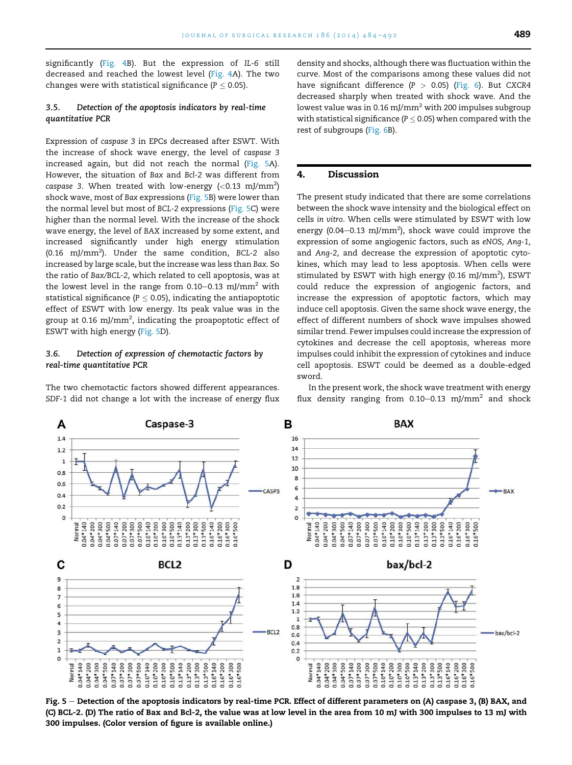significantly ([Fig. 4B](#page-4-0)). But the expression of *IL-6* still decreased and reached the lowest level ([Fig. 4A](#page-4-0)). The two changes were with statistical significance ( $P \le 0.05$ ).

# 3.5. Detection of the apoptosis indicators by real-time quantitative PCR

Expression of *caspase 3* in EPCs decreased after ESWT. With the increase of shock wave energy, the level of *caspase 3* increased again, but did not reach the normal (Fig. 5A). However, the situation of *Bax* and *Bcl-2* was different from  $\emph{caspase}$  3. When treated with low-energy (<0.13 mJ/mm<sup>2</sup>) shock wave, most of *Bax* expressions (Fig. 5B) were lower than the normal level but most of *BCL-2* expressions (Fig. 5C) were higher than the normal level. With the increase of the shock wave energy, the level of *BAX* increased by some extent, and increased significantly under high energy stimulation (0.16 mJ/mm<sup>2</sup> ). Under the same condition, *BCL-2* also increased by large scale, but the increase was less than *Bax*. So the ratio of *Bax/BCL-2,* which related to cell apoptosis, was at the lowest level in the range from  $0.10-0.13$  mJ/mm<sup>2</sup> with statistical significance ( $P \leq 0.05$ ), indicating the antiapoptotic effect of ESWT with low energy. Its peak value was in the group at 0.16 mJ/mm<sup>2</sup>, indicating the proapoptotic effect of ESWT with high energy (Fig. 5D).

#### 3.6. Detection of expression of chemotactic factors by real-time quantitative PCR

The two chemotactic factors showed different appearances. *SDF-1* did not change a lot with the increase of energy flux density and shocks, although there was fluctuation within the curve. Most of the comparisons among these values did not have significant difference (*P* > 0.05) ([Fig. 6\)](#page-6-0). But *CXCR4* decreased sharply when treated with shock wave. And the lowest value was in 0.16 mJ/mm<sup>2</sup> with 200 impulses subgroup with statistical significance ( $P \leq 0.05$ ) when compared with the rest of subgroups [\(Fig. 6B](#page-6-0)).

# 4. Discussion

The present study indicated that there are some correlations between the shock wave intensity and the biological effect on cells *in vitro*. When cells were stimulated by ESWT with low energy (0.04 $-$ 0.13 mJ/mm<sup>2</sup>), shock wave could improve the expression of some angiogenic factors, such as *eNOS, Ang-1,* and *Ang-2,* and decrease the expression of apoptotic cytokines, which may lead to less apoptosis. When cells were stimulated by ESWT with high energy (0.16 mJ/mm $^2$ ), ESWT could reduce the expression of angiogenic factors, and increase the expression of apoptotic factors, which may induce cell apoptosis. Given the same shock wave energy, the effect of different numbers of shock wave impulses showed similar trend. Fewer impulses could increase the expression of cytokines and decrease the cell apoptosis, whereas more impulses could inhibit the expression of cytokines and induce cell apoptosis. ESWT could be deemed as a double-edged sword.



Fig. 5 – Detection of the apoptosis indicators by real-time PCR. Effect of different parameters on (A) caspase 3, (B) BAX, and (C) BCL-2. (D) The ratio of Bax and Bcl-2, the value was at low level in the area from 10 mJ with 300 impulses to 13 mJ with 300 impulses. (Color version of figure is available online.)

In the present work, the shock wave treatment with energy flux density ranging from 0.10–0.13 mJ/mm $^2$  and shock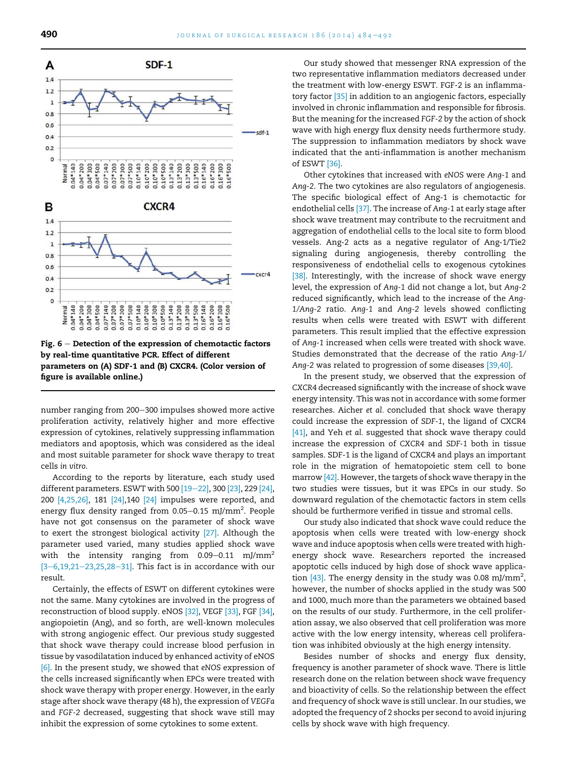<span id="page-6-0"></span>

Fig.  $6$  – Detection of the expression of chemotactic factors by real-time quantitative PCR. Effect of different parameters on (A) SDF-1 and (B) CXCR4. (Color version of figure is available online.)

number ranging from 200–300 impulses showed more active proliferation activity, relatively higher and more effective expression of cytokines, relatively suppressing inflammation mediators and apoptosis, which was considered as the ideal and most suitable parameter for shock wave therapy to treat cells *in vitro*.

According to the reports by literature, each study used different parameters. ESWT with 500  $[19-22]$  $[19-22]$ , 300  $[23]$ , 229  $[24]$ , 200 [\[4,25,26\]](#page-7-0), 181 [\[24\]](#page-7-0),140 [\[24\]](#page-7-0) impulses were reported, and energy flux density ranged from 0.05–0.15 mJ/mm $^2$ . People have not got consensus on the parameter of shock wave to exert the strongest biological activity [\[27\].](#page-8-0) Although the parameter used varied, many studies applied shock wave with the intensity ranging from  $0.09-0.11$  mJ/mm<sup>2</sup>  $[3-6,19,21-23,25,28-31]$  $[3-6,19,21-23,25,28-31]$  $[3-6,19,21-23,25,28-31]$  $[3-6,19,21-23,25,28-31]$  $[3-6,19,21-23,25,28-31]$  $[3-6,19,21-23,25,28-31]$  $[3-6,19,21-23,25,28-31]$ . This fact is in accordance with our result.

Certainly, the effects of ESWT on different cytokines were not the same. Many cytokines are involved in the progress of reconstruction of blood supply. eNOS [\[32\]](#page-8-0), VEGF [\[33\],](#page-8-0) FGF [\[34\],](#page-8-0) angiopoietin (Ang), and so forth, are well-known molecules with strong angiogenic effect. Our previous study suggested that shock wave therapy could increase blood perfusion in tissue by vasodilatation induced by enhanced activity of eNOS [\[6\]](#page-7-0). In the present study, we showed that *eNOS* expression of the cells increased significantly when EPCs were treated with shock wave therapy with proper energy. However, in the early stage after shock wave therapy (48 h), the expression of *VEGFa* and *FGF-2* decreased, suggesting that shock wave still may inhibit the expression of some cytokines to some extent.

Our study showed that messenger RNA expression of the two representative inflammation mediators decreased under the treatment with low-energy ESWT. FGF-2 is an inflammatory factor [\[35\]](#page-8-0) in addition to an angiogenic factors, especially involved in chronic inflammation and responsible for fibrosis. But the meaning for the increased *FGF-2* by the action of shock wave with high energy flux density needs furthermore study. The suppression to inflammation mediators by shock wave indicated that the anti-inflammation is another mechanism of ESWT [\[36\]](#page-8-0).

Other cytokines that increased with *eNOS* were *Ang-1* and *Ang-2*. The two cytokines are also regulators of angiogenesis. The specific biological effect of Ang-1 is chemotactic for endothelial cells [\[37\].](#page-8-0) The increase of *Ang-1* at early stage after shock wave treatment may contribute to the recruitment and aggregation of endothelial cells to the local site to form blood vessels. Ang-2 acts as a negative regulator of Ang-1/Tie2 signaling during angiogenesis, thereby controlling the responsiveness of endothelial cells to exogenous cytokines [\[38\].](#page-8-0) Interestingly, with the increase of shock wave energy level, the expression of *Ang-1* did not change a lot, but *Ang-2* reduced significantly, which lead to the increase of the *Ang-1/Ang-2* ratio. *Ang-1* and *Ang-2* levels showed conflicting results when cells were treated with ESWT with different parameters. This result implied that the effective expression of *Ang-1* increased when cells were treated with shock wave. Studies demonstrated that the decrease of the ratio *Ang-1/ Ang-2* was related to progression of some diseases [\[39,40\]](#page-8-0).

In the present study, we observed that the expression of *CXCR4* decreased significantly with the increase of shock wave energy intensity. This was not in accordance with some former researches. Aicher *et al.* concluded that shock wave therapy could increase the expression of *SDF-1*, the ligand of CXCR4 [\[41\]](#page-8-0), and Yeh *et al.* suggested that shock wave therapy could increase the expression of *CXCR4* and *SDF-1* both in tissue samples. SDF-1 is the ligand of CXCR4 and plays an important role in the migration of hematopoietic stem cell to bone marrow [\[42\].](#page-8-0) However, the targets of shock wave therapy in the two studies were tissues, but it was EPCs in our study. So downward regulation of the chemotactic factors in stem cells should be furthermore verified in tissue and stromal cells.

Our study also indicated that shock wave could reduce the apoptosis when cells were treated with low-energy shock wave and induce apoptosis when cells were treated with highenergy shock wave. Researchers reported the increased apoptotic cells induced by high dose of shock wave application  $[43]$ . The energy density in the study was 0.08 mJ/mm<sup>2</sup>, however, the number of shocks applied in the study was 500 and 1000, much more than the parameters we obtained based on the results of our study. Furthermore, in the cell proliferation assay, we also observed that cell proliferation was more active with the low energy intensity, whereas cell proliferation was inhibited obviously at the high energy intensity.

Besides number of shocks and energy flux density, frequency is another parameter of shock wave. There is little research done on the relation between shock wave frequency and bioactivity of cells. So the relationship between the effect and frequency of shock wave is still unclear. In our studies, we adopted the frequency of 2 shocks per second to avoid injuring cells by shock wave with high frequency.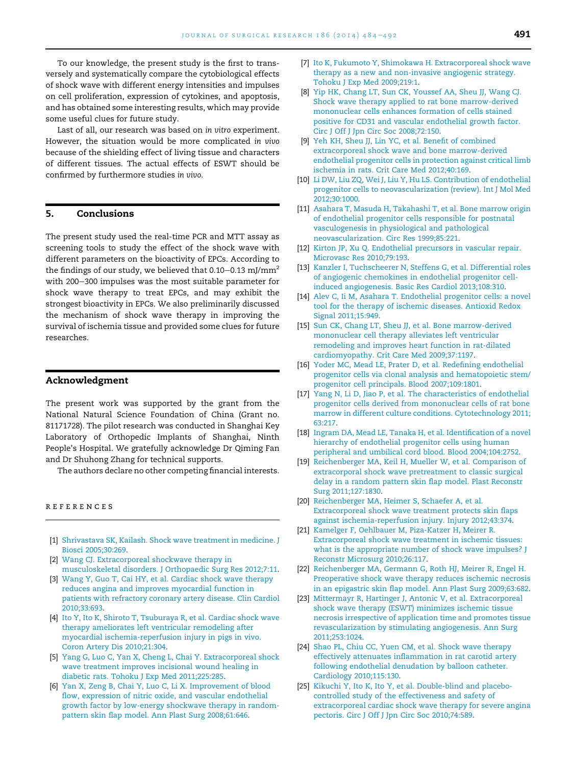<span id="page-7-0"></span>To our knowledge, the present study is the first to transversely and systematically compare the cytobiological effects of shock wave with different energy intensities and impulses on cell proliferation, expression of cytokines, and apoptosis, and has obtained some interesting results, which may provide some useful clues for future study.

Last of all, our research was based on *in vitro* experiment. However, the situation would be more complicated *in vivo* because of the shielding effect of living tissue and characters of different tissues. The actual effects of ESWT should be confirmed by furthermore studies *in vivo*.

# 5. Conclusions

The present study used the real-time PCR and MTT assay as screening tools to study the effect of the shock wave with different parameters on the bioactivity of EPCs. According to the findings of our study, we believed that  $0.10-0.13$  mJ/mm<sup>2</sup> with 200-300 impulses was the most suitable parameter for shock wave therapy to treat EPCs, and may exhibit the strongest bioactivity in EPCs. We also preliminarily discussed the mechanism of shock wave therapy in improving the survival of ischemia tissue and provided some clues for future researches.

#### Acknowledgment

The present work was supported by the grant from the National Natural Science Foundation of China (Grant no. 81171728). The pilot research was conducted in Shanghai Key Laboratory of Orthopedic Implants of Shanghai, Ninth People's Hospital. We gratefully acknowledge Dr Qiming Fan and Dr Shuhong Zhang for technical supports.

The authors declare no other competing financial interests.

#### references

- [1] [Shrivastava SK, Kailash. Shock wave treatment in medicine. J](http://refhub.elsevier.com/S0022-4804(13)00777-4/sref1) [Biosci 2005;30:269.](http://refhub.elsevier.com/S0022-4804(13)00777-4/sref1)
- [2] [Wang CJ. Extracorporeal shockwave therapy in](http://refhub.elsevier.com/S0022-4804(13)00777-4/sref2) [musculoskeletal disorders. J Orthopaedic Surg Res 2012;7:11.](http://refhub.elsevier.com/S0022-4804(13)00777-4/sref2)
- [3] [Wang Y, Guo T, Cai HY, et al. Cardiac shock wave therapy](http://refhub.elsevier.com/S0022-4804(13)00777-4/sref3) [reduces angina and improves myocardial function in](http://refhub.elsevier.com/S0022-4804(13)00777-4/sref3) [patients with refractory coronary artery disease. Clin Cardiol](http://refhub.elsevier.com/S0022-4804(13)00777-4/sref3) [2010;33:693.](http://refhub.elsevier.com/S0022-4804(13)00777-4/sref3)
- [4] [Ito Y, Ito K, Shiroto T, Tsuburaya R, et al. Cardiac shock wave](http://refhub.elsevier.com/S0022-4804(13)00777-4/sref4) [therapy ameliorates left ventricular remodeling after](http://refhub.elsevier.com/S0022-4804(13)00777-4/sref4) [myocardial ischemia-reperfusion injury in pigs in vivo.](http://refhub.elsevier.com/S0022-4804(13)00777-4/sref4) [Coron Artery Dis 2010;21:304.](http://refhub.elsevier.com/S0022-4804(13)00777-4/sref4)
- [5] [Yang G, Luo C, Yan X, Cheng L, Chai Y. Extracorporeal shock](http://refhub.elsevier.com/S0022-4804(13)00777-4/sref5) [wave treatment improves incisional wound healing in](http://refhub.elsevier.com/S0022-4804(13)00777-4/sref5) [diabetic rats. Tohoku J Exp Med 2011;225:285.](http://refhub.elsevier.com/S0022-4804(13)00777-4/sref5)
- [6] [Yan X, Zeng B, Chai Y, Luo C, Li X. Improvement of blood](http://refhub.elsevier.com/S0022-4804(13)00777-4/sref6) [flow, expression of nitric oxide, and vascular endothelial](http://refhub.elsevier.com/S0022-4804(13)00777-4/sref6) [growth factor by low-energy shockwave therapy in random](http://refhub.elsevier.com/S0022-4804(13)00777-4/sref6)[pattern skin flap model. Ann Plast Surg 2008;61:646](http://refhub.elsevier.com/S0022-4804(13)00777-4/sref6).
- [7] [Ito K, Fukumoto Y, Shimokawa H. Extracorporeal shock wave](http://refhub.elsevier.com/S0022-4804(13)00777-4/sref7) [therapy as a new and non-invasive angiogenic strategy.](http://refhub.elsevier.com/S0022-4804(13)00777-4/sref7) [Tohoku J Exp Med 2009;219:1](http://refhub.elsevier.com/S0022-4804(13)00777-4/sref7).
- [8] [Yip HK, Chang LT, Sun CK, Youssef AA, Sheu JJ, Wang CJ.](http://refhub.elsevier.com/S0022-4804(13)00777-4/sref8) [Shock wave therapy applied to rat bone marrow-derived](http://refhub.elsevier.com/S0022-4804(13)00777-4/sref8) [mononuclear cells enhances formation of cells stained](http://refhub.elsevier.com/S0022-4804(13)00777-4/sref8) [positive for CD31 and vascular endothelial growth factor.](http://refhub.elsevier.com/S0022-4804(13)00777-4/sref8) [Circ J Off J Jpn Circ Soc 2008;72:150](http://refhub.elsevier.com/S0022-4804(13)00777-4/sref8).
- [9] [Yeh KH, Sheu JJ, Lin YC, et al. Benefit of combined](http://refhub.elsevier.com/S0022-4804(13)00777-4/sref9) [extracorporeal shock wave and bone marrow-derived](http://refhub.elsevier.com/S0022-4804(13)00777-4/sref9) [endothelial progenitor cells in protection against critical limb](http://refhub.elsevier.com/S0022-4804(13)00777-4/sref9) [ischemia in rats. Crit Care Med 2012;40:169.](http://refhub.elsevier.com/S0022-4804(13)00777-4/sref9)
- [10] [Li DW, Liu ZQ, Wei J, Liu Y, Hu LS. Contribution of endothelial](http://refhub.elsevier.com/S0022-4804(13)00777-4/sref10) [progenitor cells to neovascularization \(review\). Int J Mol Med](http://refhub.elsevier.com/S0022-4804(13)00777-4/sref10) [2012;30:1000](http://refhub.elsevier.com/S0022-4804(13)00777-4/sref10).
- [11] [Asahara T, Masuda H, Takahashi T, et al. Bone marrow origin](http://refhub.elsevier.com/S0022-4804(13)00777-4/sref11) [of endothelial progenitor cells responsible for postnatal](http://refhub.elsevier.com/S0022-4804(13)00777-4/sref11) [vasculogenesis in physiological and pathological](http://refhub.elsevier.com/S0022-4804(13)00777-4/sref11) [neovascularization. Circ Res 1999;85:221.](http://refhub.elsevier.com/S0022-4804(13)00777-4/sref11)
- [12] [Kirton JP, Xu Q. Endothelial precursors in vascular repair.](http://refhub.elsevier.com/S0022-4804(13)00777-4/sref12) [Microvasc Res 2010;79:193.](http://refhub.elsevier.com/S0022-4804(13)00777-4/sref12)
- [13] [Kanzler I, Tuchscheerer N, Steffens G, et al. Differential roles](http://refhub.elsevier.com/S0022-4804(13)00777-4/sref13) [of angiogenic chemokines in endothelial progenitor cell](http://refhub.elsevier.com/S0022-4804(13)00777-4/sref13)[induced angiogenesis. Basic Res Cardiol 2013;108:310.](http://refhub.elsevier.com/S0022-4804(13)00777-4/sref13)
- [14] [Alev C, Ii M, Asahara T. Endothelial progenitor cells: a novel](http://refhub.elsevier.com/S0022-4804(13)00777-4/sref14) [tool for the therapy of ischemic diseases. Antioxid Redox](http://refhub.elsevier.com/S0022-4804(13)00777-4/sref14) [Signal 2011;15:949](http://refhub.elsevier.com/S0022-4804(13)00777-4/sref14).
- [15] [Sun CK, Chang LT, Sheu JJ, et al. Bone marrow-derived](http://refhub.elsevier.com/S0022-4804(13)00777-4/sref15) [mononuclear cell therapy alleviates left ventricular](http://refhub.elsevier.com/S0022-4804(13)00777-4/sref15) [remodeling and improves heart function in rat-dilated](http://refhub.elsevier.com/S0022-4804(13)00777-4/sref15) [cardiomyopathy. Crit Care Med 2009;37:1197](http://refhub.elsevier.com/S0022-4804(13)00777-4/sref15).
- [16] [Yoder MC, Mead LE, Prater D, et al. Redefining endothelial](http://refhub.elsevier.com/S0022-4804(13)00777-4/sref16) [progenitor cells via clonal analysis and hematopoietic stem/](http://refhub.elsevier.com/S0022-4804(13)00777-4/sref16) [progenitor cell principals. Blood 2007;109:1801.](http://refhub.elsevier.com/S0022-4804(13)00777-4/sref16)
- [17] [Yang N, Li D, Jiao P, et al. The characteristics of endothelial](http://refhub.elsevier.com/S0022-4804(13)00777-4/sref17) [progenitor cells derived from mononuclear cells of rat bone](http://refhub.elsevier.com/S0022-4804(13)00777-4/sref17) [marrow in different culture conditions. Cytotechnology 2011;](http://refhub.elsevier.com/S0022-4804(13)00777-4/sref17) [63:217.](http://refhub.elsevier.com/S0022-4804(13)00777-4/sref17)
- [18] [Ingram DA, Mead LE, Tanaka H, et al. Identification of a novel](http://refhub.elsevier.com/S0022-4804(13)00777-4/sref18) [hierarchy of endothelial progenitor cells using human](http://refhub.elsevier.com/S0022-4804(13)00777-4/sref18) [peripheral and umbilical cord blood. Blood 2004;104:2752.](http://refhub.elsevier.com/S0022-4804(13)00777-4/sref18)
- [19] [Reichenberger MA, Keil H, Mueller W, et al. Comparison of](http://refhub.elsevier.com/S0022-4804(13)00777-4/sref19) [extracorporal shock wave pretreatment to classic surgical](http://refhub.elsevier.com/S0022-4804(13)00777-4/sref19) [delay in a random pattern skin flap model. Plast Reconstr](http://refhub.elsevier.com/S0022-4804(13)00777-4/sref19) [Surg 2011;127:1830](http://refhub.elsevier.com/S0022-4804(13)00777-4/sref19).
- [20] [Reichenberger MA, Heimer S, Schaefer A, et al.](http://refhub.elsevier.com/S0022-4804(13)00777-4/sref20) [Extracorporeal shock wave treatment protects skin flaps](http://refhub.elsevier.com/S0022-4804(13)00777-4/sref20) [against ischemia-reperfusion injury. Injury 2012;43:374.](http://refhub.elsevier.com/S0022-4804(13)00777-4/sref20)
- [21] [Kamelger F, Oehlbauer M, Piza-Katzer H, Meirer R.](http://refhub.elsevier.com/S0022-4804(13)00777-4/sref21) [Extracorporeal shock wave treatment in ischemic tissues:](http://refhub.elsevier.com/S0022-4804(13)00777-4/sref21) [what is the appropriate number of shock wave impulses? J](http://refhub.elsevier.com/S0022-4804(13)00777-4/sref21) [Reconstr Microsurg 2010;26:117.](http://refhub.elsevier.com/S0022-4804(13)00777-4/sref21)
- [22] [Reichenberger MA, Germann G, Roth HJ, Meirer R, Engel H.](http://refhub.elsevier.com/S0022-4804(13)00777-4/sref22) [Preoperative shock wave therapy reduces ischemic necrosis](http://refhub.elsevier.com/S0022-4804(13)00777-4/sref22) [in an epigastric skin flap model. Ann Plast Surg 2009;63:682.](http://refhub.elsevier.com/S0022-4804(13)00777-4/sref22)
- [23] [Mittermayr R, Hartinger J, Antonic V, et al. Extracorporeal](http://refhub.elsevier.com/S0022-4804(13)00777-4/sref23) shock [wave therapy \(ESWT\) minimizes ischemic tissue](http://refhub.elsevier.com/S0022-4804(13)00777-4/sref23) [necrosis irrespective of application time and promotes tissue](http://refhub.elsevier.com/S0022-4804(13)00777-4/sref23) [revascularization by stimulating angiogenesis. Ann Surg](http://refhub.elsevier.com/S0022-4804(13)00777-4/sref23) [2011;253:1024](http://refhub.elsevier.com/S0022-4804(13)00777-4/sref23).
- [24] [Shao PL, Chiu CC, Yuen CM, et al. Shock wave therapy](http://refhub.elsevier.com/S0022-4804(13)00777-4/sref24) [effectively attenuates inflammation in rat carotid artery](http://refhub.elsevier.com/S0022-4804(13)00777-4/sref24) [following endothelial denudation by balloon catheter.](http://refhub.elsevier.com/S0022-4804(13)00777-4/sref24) [Cardiology 2010;115:130](http://refhub.elsevier.com/S0022-4804(13)00777-4/sref24).
- [25] [Kikuchi Y, Ito K, Ito Y, et al. Double-blind and placebo](http://refhub.elsevier.com/S0022-4804(13)00777-4/sref25)[controlled study of the effectiveness and safety of](http://refhub.elsevier.com/S0022-4804(13)00777-4/sref25) [extracorporeal cardiac shock wave therapy for severe angina](http://refhub.elsevier.com/S0022-4804(13)00777-4/sref25) [pectoris. Circ J Off J Jpn Circ Soc 2010;74:589](http://refhub.elsevier.com/S0022-4804(13)00777-4/sref25).